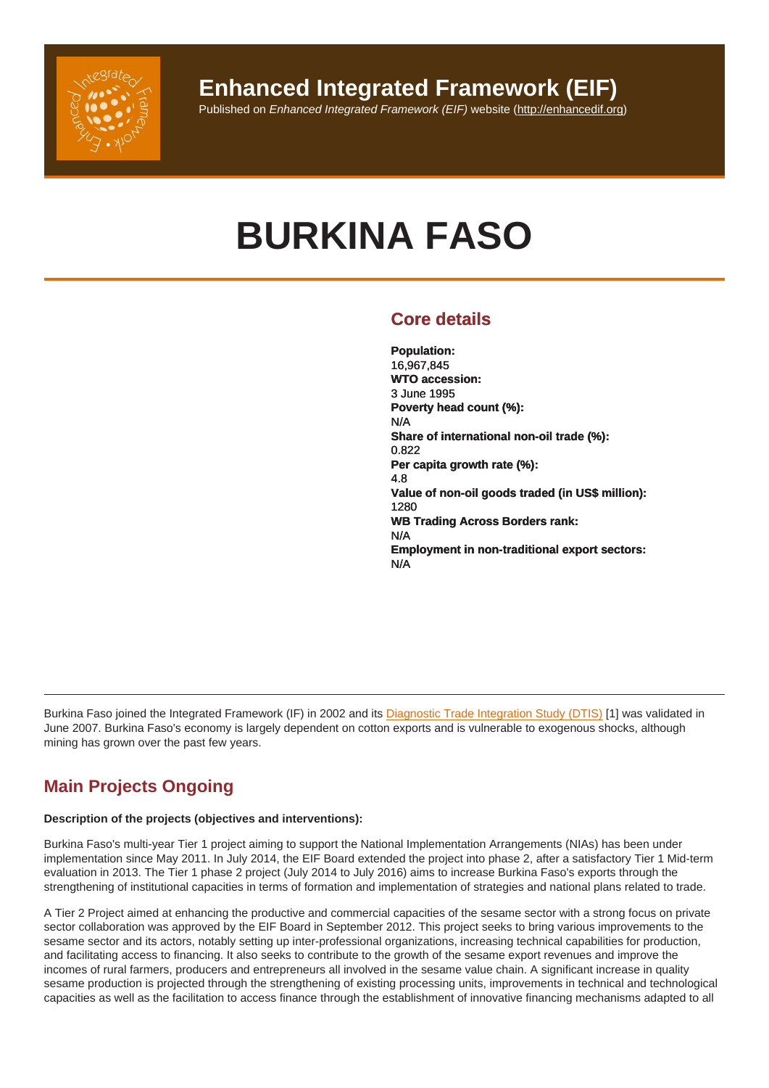# BURKINA FASO

# Core details

Population: 16,967,845 WTO accession: 3 June 1995 Poverty head count (%): N/A Share of international non-oil trade (%): 0.822 Per capita growth rate (%): 4.8 Value of non-oil goods traded (in US\$ million): 1280 WB Trading Across Borders rank: N/A Employment in non-traditional export sectors: N/A

Burkina Faso joined the Integrated Framework (IF) in 2002 and its Diagnostic Trade Integration Study (DTIS) [1] was validated in June 2007. Burkina Faso's economy is largely dependent on cotton exports and is vulnerable to exogenous shocks, although mining has grown over the past few years.

# Main Projects Ongoing

Description of the projects (objectives and interventions):

Burkina Faso's multi-year Tier 1 project aiming to support the National Implementation Arrangements (NIAs) has been under implementation since May 2011. In July 2014, the EIF Board extended the project into phase 2, after a satisfactory Tier 1 Mid-term evaluation in 2013. The Tier 1 phase 2 project (July 2014 to July 2016) aims to increase Burkina Faso's exports through the strengthening of institutional capacities in terms of formation and implementation of strategies and national plans related to trade.

A Tier 2 Project aimed at enhancing the productive and commercial capacities of the sesame sector with a strong focus on private sector collaboration was approved by the EIF Board in September 2012. This project seeks to bring various improvements to the sesame sector and its actors, notably setting up inter-professional organizations, increasing technical capabilities for production, and facilitating access to financing. It also seeks to contribute to the growth of the sesame export revenues and improve the incomes of rural farmers, producers and entrepreneurs all involved in the sesame value chain. A significant increase in quality sesame production is projected through the strengthening of existing processing units, improvements in technical and technological capacities as well as the facilitation to access finance through the establishment of innovative financing mechanisms adapted to all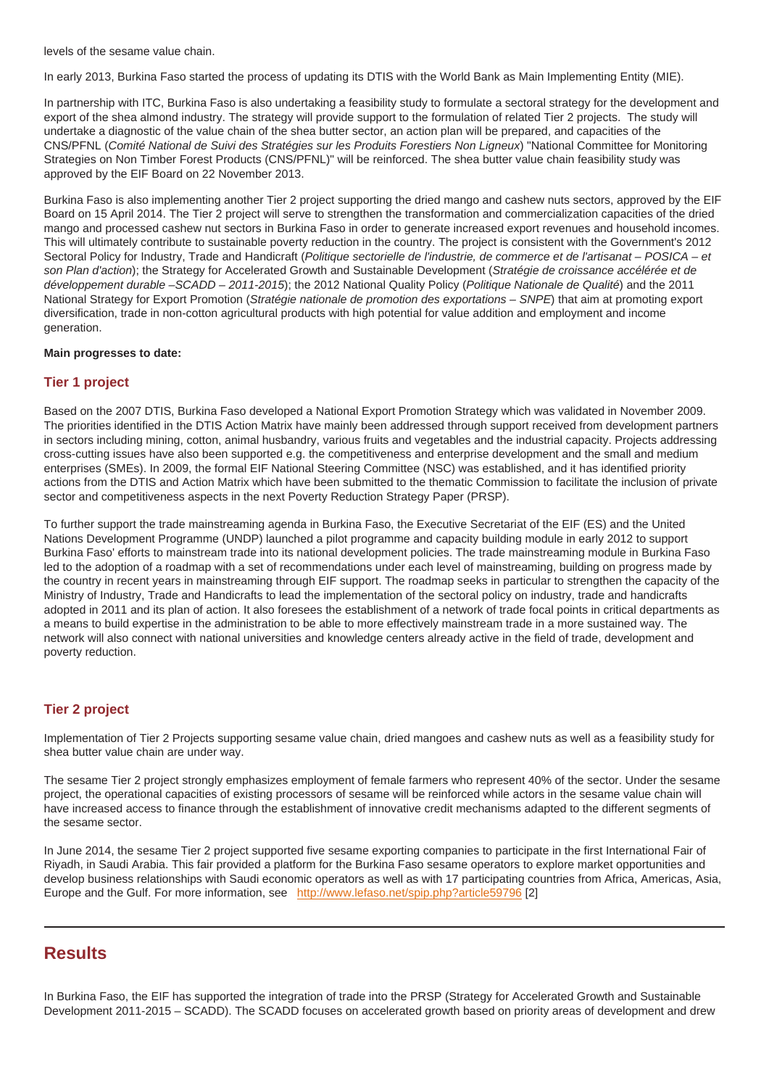In early 2013, Burkina Faso started the process of updating its DTIS with the World Bank as Main Implementing Entity (MIE).

In partnership with ITC, Burkina Faso is also undertaking a feasibility study to formulate a sectoral strategy for the development and export of the shea almond industry. The strategy will provide support to the formulation of related Tier 2 projects. The study will undertake a diagnostic of the value chain of the shea butter sector, an action plan will be prepared, and capacities of the CNS/PFNL (Comité National de Suivi des Stratégies sur les Produits Forestiers Non Ligneux) "National Committee for Monitoring Strategies on Non Timber Forest Products (CNS/PFNL)" will be reinforced. The shea butter value chain feasibility study was approved by the EIF Board on 22 November 2013.

Burkina Faso is also implementing another Tier 2 project supporting the dried mango and cashew nuts sectors, approved by the EIF Board on 15 April 2014. The Tier 2 project will serve to strengthen the transformation and commercialization capacities of the dried mango and processed cashew nut sectors in Burkina Faso in order to generate increased export revenues and household incomes. This will ultimately contribute to sustainable poverty reduction in the country. The project is consistent with the Government's 2012 Sectoral Policy for Industry, Trade and Handicraft (Politique sectorielle de l'industrie, de commerce et de l'artisanat – POSICA – et son Plan d'action); the Strategy for Accelerated Growth and Sustainable Development (Stratégie de croissance accélérée et de développement durable –SCADD – 2011-2015); the 2012 National Quality Policy (Politique Nationale de Qualité) and the 2011 National Strategy for Export Promotion (Stratégie nationale de promotion des exportations – SNPE) that aim at promoting export diversification, trade in non-cotton agricultural products with high potential for value addition and employment and income generation.

Main progresses to date:

#### Tier 1 project

Based on the 2007 DTIS, Burkina Faso developed a National Export Promotion Strategy which was validated in November 2009. The priorities identified in the DTIS Action Matrix have mainly been addressed through support received from development partners in sectors including mining, cotton, animal husbandry, various fruits and vegetables and the industrial capacity. Projects addressing cross-cutting issues have also been supported e.g. the competitiveness and enterprise development and the small and medium enterprises (SMEs). In 2009, the formal EIF National Steering Committee (NSC) was established, and it has identified priority actions from the DTIS and Action Matrix which have been submitted to the thematic Commission to facilitate the inclusion of private sector and competitiveness aspects in the next Poverty Reduction Strategy Paper (PRSP).

To further support the trade mainstreaming agenda in Burkina Faso, the Executive Secretariat of the EIF (ES) and the United Nations Development Programme (UNDP) launched a pilot programme and capacity building module in early 2012 to support Burkina Faso' efforts to mainstream trade into its national development policies. The trade mainstreaming module in Burkina Faso led to the adoption of a roadmap with a set of recommendations under each level of mainstreaming, building on progress made by the country in recent years in mainstreaming through EIF support. The roadmap seeks in particular to strengthen the capacity of the Ministry of Industry, Trade and Handicrafts to lead the implementation of the sectoral policy on industry, trade and handicrafts adopted in 2011 and its plan of action. It also foresees the establishment of a network of trade focal points in critical departments as a means to build expertise in the administration to be able to more effectively mainstream trade in a more sustained way. The network will also connect with national universities and knowledge centers already active in the field of trade, development and poverty reduction.

#### Tier 2 project

Implementation of Tier 2 Projects supporting sesame value chain, dried mangoes and cashew nuts as well as a feasibility study for shea butter value chain are under way.

The sesame Tier 2 project strongly emphasizes employment of female farmers who represent 40% of the sector. Under the sesame project, the operational capacities of existing processors of sesame will be reinforced while actors in the sesame value chain will have increased access to finance through the establishment of innovative credit mechanisms adapted to the different segments of the sesame sector.

In June 2014, the sesame Tier 2 project supported five sesame exporting companies to participate in the first International Fair of Riyadh, in Saudi Arabia. This fair provided a platform for the Burkina Faso sesame operators to explore market opportunities and develop business relationships with Saudi economic operators as well as with 17 participating countries from Africa, Americas, Asia, Europe and the Gulf. For more information, see http://www.lefaso.net/spip.php?article59796 [2]

# **Results**

In Burkina Faso, the EIF has supported the integration of trade into the PRSP (Strategy for Accelerated Growth and Sustainable Development 2011-2015 – SCADD). The SCADD focuses on accelerated growth based on priority areas of development and drew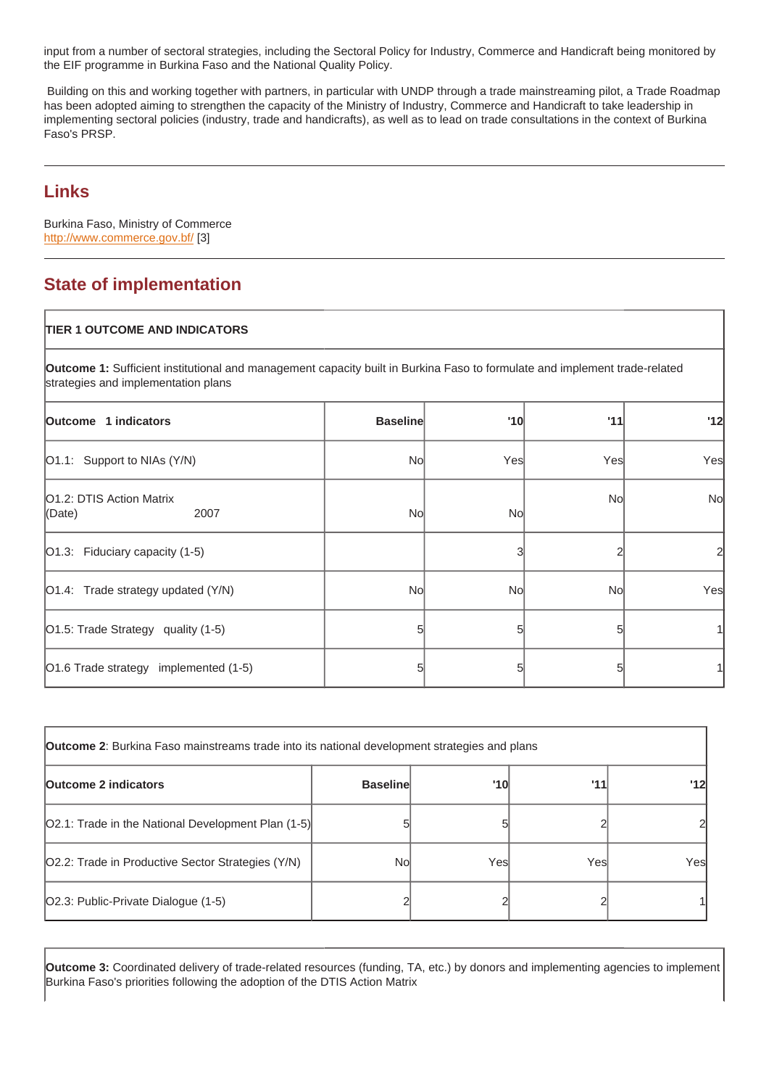the EIF programme in Burkina Faso and the National Quality Policy.

 Building on this and working together with partners, in particular with UNDP through a trade mainstreaming pilot, a Trade Roadmap has been adopted aiming to strengthen the capacity of the Ministry of Industry, Commerce and Handicraft to take leadership in implementing sectoral policies (industry, trade and handicrafts), as well as to lead on trade consultations in the context of Burkina Faso's PRSP.

# Links

Burkina Faso, Ministry of Commerce http://www.commerce.gov.bf/ [3]

# State of implementation

# TIER 1 OUTCOME AND INDICATORS

Outcome 1: Sufficient institutional and management capacity built in Burkina Faso to formulate and implement trade-related strategies and implementation plans

| Outcome 1 indicators                              | <b>Baseline</b> | '10 | '11 | '12            |
|---------------------------------------------------|-----------------|-----|-----|----------------|
| [O1.1: Support to NIAs (Y/N)                      | No              | Yes | Yes | Yes            |
| <b>O1.2: DTIS Action Matrix</b><br>(Date)<br>2007 | No              | No  | No  | No             |
| $ O1.3$ : Fiduciary capacity (1-5)                |                 |     |     | $\overline{2}$ |
| $[O1.4:$ Trade strategy updated $(Y/N)$           | No              | No  | No  | Yes            |
| O1.5: Trade Strategy quality (1-5)                |                 | 5   |     |                |
| O1.6 Trade strategy implemented (1-5)             |                 | 5   |     |                |

| Outcome 2 : Burkina Faso mainstreams trade into its national development strategies and plans |                 |     |      |     |
|-----------------------------------------------------------------------------------------------|-----------------|-----|------|-----|
| Outcome 2 indicators                                                                          | <b>Baseline</b> | '10 | '11  | '12 |
| [O2.1: Trade in the National Development Plan (1-5)]                                          |                 |     |      |     |
| O2.2: Trade in Productive Sector Strategies (Y/N)                                             | Nol             | Yes | Yesl | Yes |
| [O2.3: Public-Private Dialogue (1-5)                                                          |                 |     |      |     |

Outcome 3: Coordinated delivery of trade-related resources (funding, TA, etc.) by donors and implementing agencies to implement Burkina Faso's priorities following the adoption of the DTIS Action Matrix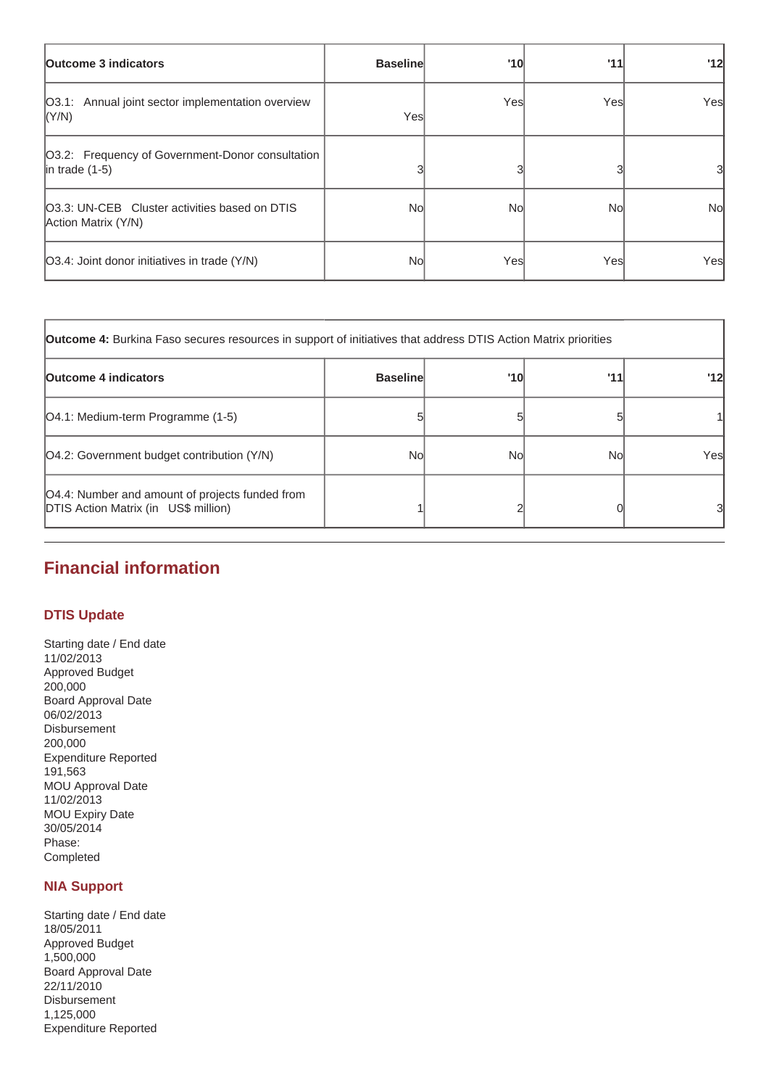| <b>Outcome 3 indicators</b>                                              | <b>Baseline</b> | '10  | '11  | '12       |
|--------------------------------------------------------------------------|-----------------|------|------|-----------|
| O3.1: Annual joint sector implementation overview<br> (Y/N)              | Yesl            | Yesl | Yesl | Yes       |
| O3.2: Frequency of Government-Donor consultation<br>$ $ in trade $(1-5)$ |                 |      |      | 31        |
| O3.3: UN-CEB Cluster activities based on DTIS<br>Action Matrix (Y/N)     | Nol             | Nol  | No   | <b>No</b> |
| [O3.4: Joint donor initiatives in trade (Y/N)                            | Nol             | Yesl | Yesl | Yes       |

| <b>Outcome 4:</b> Burkina Faso secures resources in support of initiatives that address DTIS Action Matrix priorities |                 |     |     |     |
|-----------------------------------------------------------------------------------------------------------------------|-----------------|-----|-----|-----|
| <b>Outcome 4 indicators</b>                                                                                           | <b>Baseline</b> | '10 | '11 | '12 |
| [O4.1: Medium-term Programme (1-5)                                                                                    |                 |     |     |     |
| [O4.2: Government budget contribution (Y/N)                                                                           | Nol             | Nol | Nol | Yes |
| [O4.4: Number and amount of projects funded from<br><b>DTIS Action Matrix (in US\$ million)</b>                       |                 |     |     | 31  |

# **Financial information**

## **DTIS Update**

Starting date / End date 11/02/2013 Approved Budget 200,000 Board Approval Date 06/02/2013 Disbursement 200,000 Expenditure Reported 191,563 MOU Approval Date 11/02/2013 MOU Expiry Date 30/05/2014 Phase: Completed

# **NIA Support**

Starting date / End date 18/05/2011 Approved Budget 1,500,000 Board Approval Date 22/11/2010 Disbursement 1,125,000 Expenditure Reported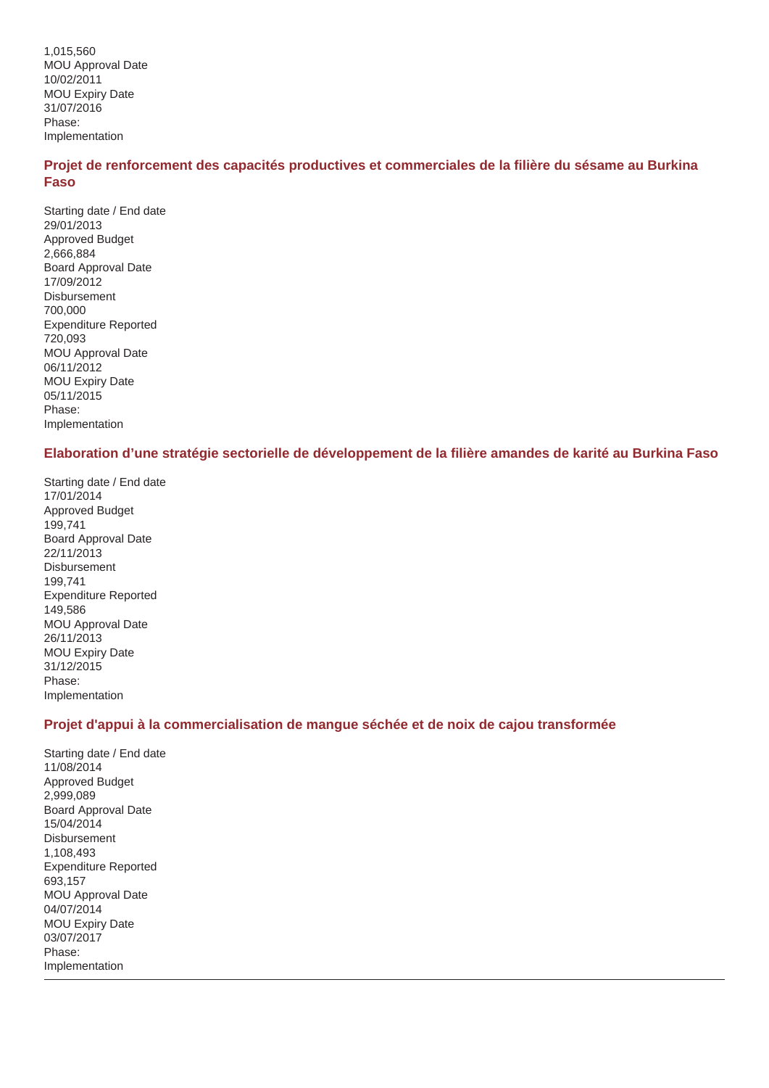1,015,560 MOU Approval Date 10/02/2011 MOU Expiry Date 31/07/2016 Phase: Implementation

## **Projet de renforcement des capacités productives et commerciales de la filière du sésame au Burkina Faso**

Starting date / End date 29/01/2013 Approved Budget 2,666,884 Board Approval Date 17/09/2012 Disbursement 700,000 Expenditure Reported 720,093 MOU Approval Date 06/11/2012 MOU Expiry Date 05/11/2015 Phase: Implementation

## **Elaboration d'une stratégie sectorielle de développement de la filière amandes de karité au Burkina Faso**

Starting date / End date 17/01/2014 Approved Budget 199,741 Board Approval Date 22/11/2013 Disbursement 199,741 Expenditure Reported 149,586 MOU Approval Date 26/11/2013 MOU Expiry Date 31/12/2015 Phase: Implementation

## **Projet d'appui à la commercialisation de mangue séchée et de noix de cajou transformée**

Starting date / End date 11/08/2014 Approved Budget 2,999,089 Board Approval Date 15/04/2014 **Disbursement** 1,108,493 Expenditure Reported 693,157 MOU Approval Date 04/07/2014 MOU Expiry Date 03/07/2017 Phase: Implementation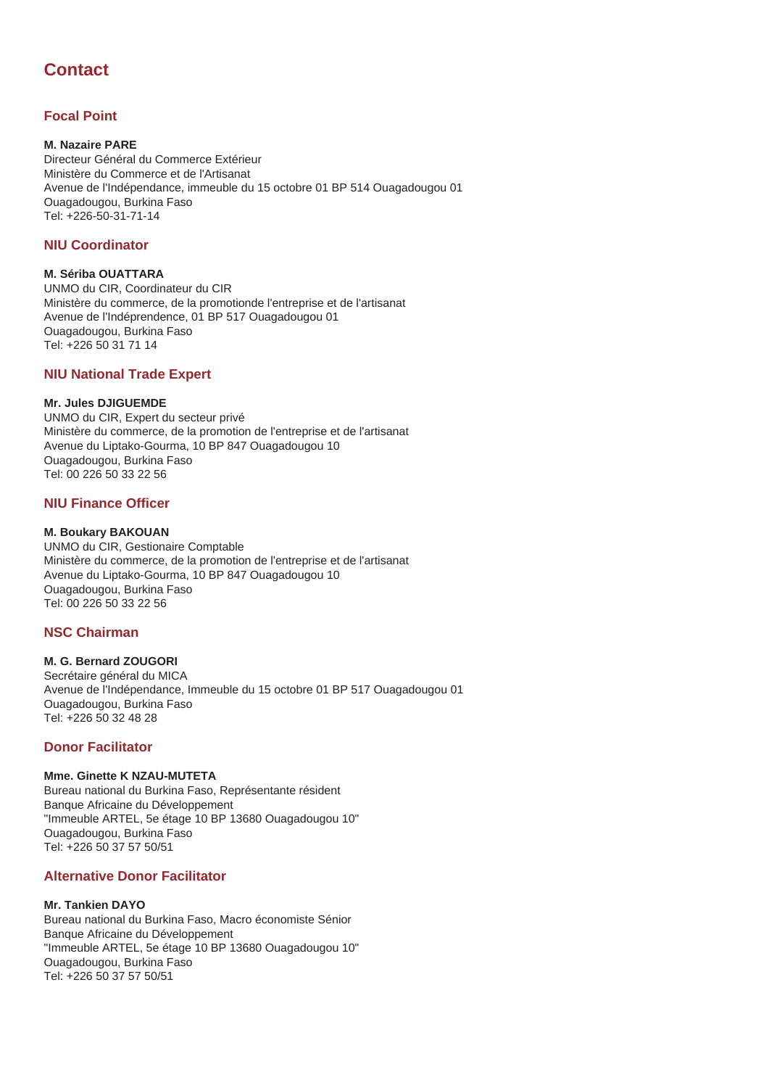# **Contact**

# **Focal Point**

#### **M. Nazaire PARE**

Directeur Général du Commerce Extérieur Ministère du Commerce et de l'Artisanat Avenue de l'Indépendance, immeuble du 15 octobre 01 BP 514 Ouagadougou 01 Ouagadougou, Burkina Faso Tel: +226-50-31-71-14

#### **NIU Coordinator**

#### **M. Sériba OUATTARA**

UNMO du CIR, Coordinateur du CIR Ministère du commerce, de la promotionde l'entreprise et de l'artisanat Avenue de l'Indéprendence, 01 BP 517 Ouagadougou 01 Ouagadougou, Burkina Faso Tel: +226 50 31 71 14

# **NIU National Trade Expert**

#### **Mr. Jules DJIGUEMDE**

UNMO du CIR, Expert du secteur privé Ministère du commerce, de la promotion de l'entreprise et de l'artisanat Avenue du Liptako-Gourma, 10 BP 847 Ouagadougou 10 Ouagadougou, Burkina Faso Tel: 00 226 50 33 22 56

# **NIU Finance Officer**

## **M. Boukary BAKOUAN**

UNMO du CIR, Gestionaire Comptable Ministère du commerce, de la promotion de l'entreprise et de l'artisanat Avenue du Liptako-Gourma, 10 BP 847 Ouagadougou 10 Ouagadougou, Burkina Faso Tel: 00 226 50 33 22 56

# **NSC Chairman**

#### **M. G. Bernard ZOUGORI**

Secrétaire général du MICA Avenue de l'Indépendance, Immeuble du 15 octobre 01 BP 517 Ouagadougou 01 Ouagadougou, Burkina Faso Tel: +226 50 32 48 28

## **Donor Facilitator**

#### **Mme. Ginette K NZAU-MUTETA**

Bureau national du Burkina Faso, Représentante résident Banque Africaine du Développement "Immeuble ARTEL, 5e étage 10 BP 13680 Ouagadougou 10" Ouagadougou, Burkina Faso Tel: +226 50 37 57 50/51

## **Alternative Donor Facilitator**

#### **Mr. Tankien DAYO**

Bureau national du Burkina Faso, Macro économiste Sénior Banque Africaine du Développement "Immeuble ARTEL, 5e étage 10 BP 13680 Ouagadougou 10" Ouagadougou, Burkina Faso Tel: +226 50 37 57 50/51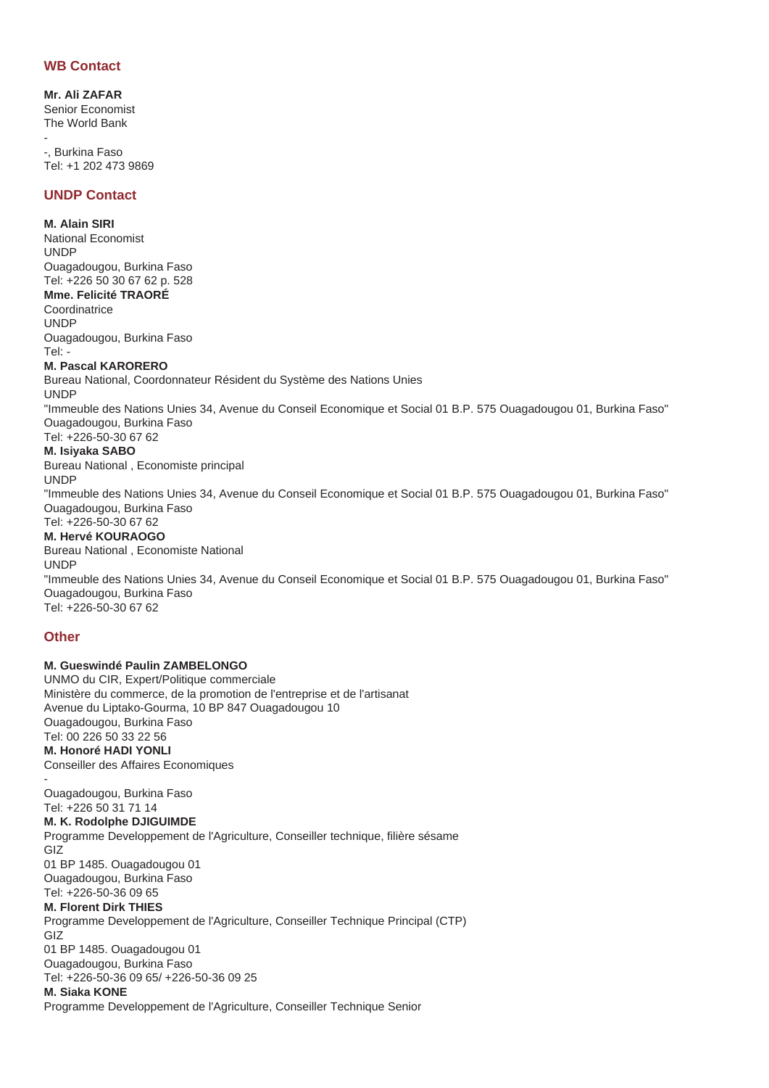#### **WB Contact**

**Mr. Ali ZAFAR** Senior Economist The World Bank

- -, Burkina Faso Tel: +1 202 473 9869

#### **UNDP Contact**

**M. Alain SIRI** National Economist UNDP Ouagadougou, Burkina Faso Tel: +226 50 30 67 62 p. 528 **Mme. Felicité TRAORÉ Coordinatrice** UNDP Ouagadougou, Burkina Faso  $Te$ **M. Pascal KARORERO** Bureau National, Coordonnateur Résident du Système des Nations Unies UNDP "Immeuble des Nations Unies 34, Avenue du Conseil Economique et Social 01 B.P. 575 Ouagadougou 01, Burkina Faso" Ouagadougou, Burkina Faso Tel: +226-50-30 67 62

**M. Isiyaka SABO** Bureau National , Economiste principal

UNDP "Immeuble des Nations Unies 34, Avenue du Conseil Economique et Social 01 B.P. 575 Ouagadougou 01, Burkina Faso" Ouagadougou, Burkina Faso Tel: +226-50-30 67 62

#### **M. Hervé KOURAOGO**

Bureau National , Economiste National

"Immeuble des Nations Unies 34, Avenue du Conseil Economique et Social 01 B.P. 575 Ouagadougou 01, Burkina Faso" Ouagadougou, Burkina Faso Tel: +226-50-30 67 62

#### **Other**

UNDP

**M. Gueswindé Paulin ZAMBELONGO** UNMO du CIR, Expert/Politique commerciale Ministère du commerce, de la promotion de l'entreprise et de l'artisanat Avenue du Liptako-Gourma, 10 BP 847 Ouagadougou 10 Ouagadougou, Burkina Faso Tel: 00 226 50 33 22 56 **M. Honoré HADI YONLI** Conseiller des Affaires Economiques

- Ouagadougou, Burkina Faso Tel: +226 50 31 71 14 **M. K. Rodolphe DJIGUIMDE** Programme Developpement de l'Agriculture, Conseiller technique, filière sésame GIZ 01 BP 1485. Ouagadougou 01 Ouagadougou, Burkina Faso Tel: +226-50-36 09 65 **M. Florent Dirk THIES** Programme Developpement de l'Agriculture, Conseiller Technique Principal (CTP) GIZ 01 BP 1485. Ouagadougou 01 Ouagadougou, Burkina Faso Tel: +226-50-36 09 65/ +226-50-36 09 25 **M. Siaka KONE** Programme Developpement de l'Agriculture, Conseiller Technique Senior